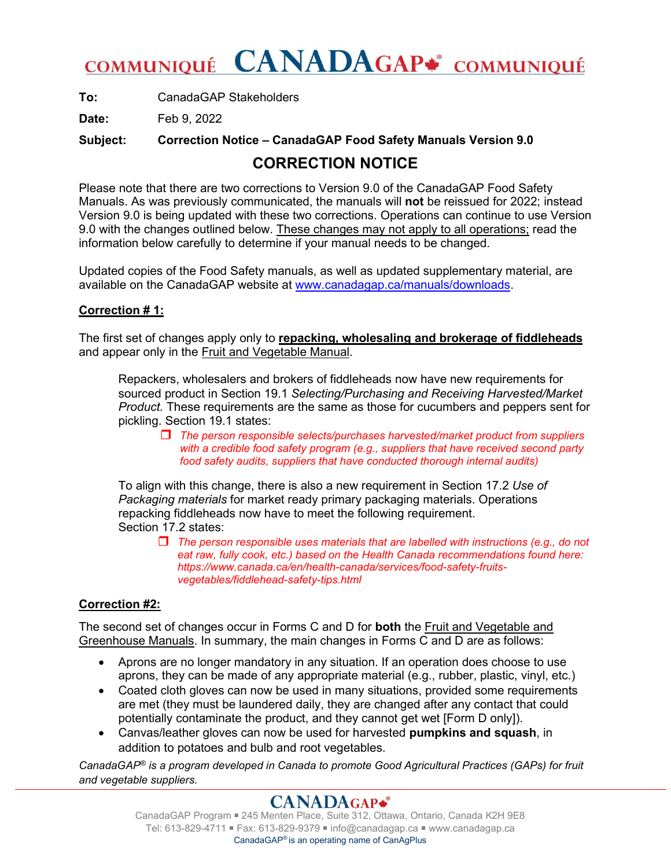# COMMUNIQUÉ CANADAGAP<sup>#</sup> COMMUNIQUÉ

**To:** CanadaGAP Stakeholders

**Date:** Feb 9, 2022

**Subject: Correction Notice – CanadaGAP Food Safety Manuals Version 9.0**

### **CORRECTION NOTICE**

Please note that there are two corrections to Version 9.0 of the CanadaGAP Food Safety Manuals. As was previously communicated, the manuals will **not** be reissued for 2022; instead Version 9.0 is being updated with these two corrections. Operations can continue to use Version 9.0 with the changes outlined below. These changes may not apply to all operations; read the information below carefully to determine if your manual needs to be changed.

Updated copies of the Food Safety manuals, as well as updated supplementary material, are available on the CanadaGAP website at [www.canadagap.ca/manuals/downloads.](http://www.canadagap.ca/manuals/downloads)

#### **Correction # 1:**

The first set of changes apply only to **repacking, wholesaling and brokerage of fiddleheads** and appear only in the Fruit and Vegetable Manual.

Repackers, wholesalers and brokers of fiddleheads now have new requirements for sourced product in Section 19.1 *Selecting/Purchasing and Receiving Harvested/Market Product.* These requirements are the same as those for cucumbers and peppers sent for pickling. Section 19.1 states:

 *The person responsible selects/purchases harvested/market product from suppliers with a credible food safety program (e.g., suppliers that have received second party food safety audits, suppliers that have conducted thorough internal audits)* 

To align with this change, there is also a new requirement in Section 17.2 *Use of Packaging materials* for market ready primary packaging materials. Operations repacking fiddleheads now have to meet the following requirement. Section 17.2 states:

 *The person responsible uses materials that are labelled with instructions (e.g., do not eat raw, fully cook, etc.) based on the Health Canada recommendations found here: [https://www.canada.ca/en/health-canada/services/food-safety-fruits](https://www.canada.ca/en/health-canada/services/food-safety-fruits-vegetables/fiddlehead-safety-tips.html)[vegetables/fiddlehead-safety-tips.html](https://www.canada.ca/en/health-canada/services/food-safety-fruits-vegetables/fiddlehead-safety-tips.html)*

### **Correction #2:**

The second set of changes occur in Forms C and D for **both** the Fruit and Vegetable and Greenhouse Manuals. In summary, the main changes in Forms C and D are as follows:

- Aprons are no longer mandatory in any situation. If an operation does choose to use aprons, they can be made of any appropriate material (e.g., rubber, plastic, vinyl, etc.)
- Coated cloth gloves can now be used in many situations, provided some requirements are met (they must be laundered daily, they are changed after any contact that could potentially contaminate the product, and they cannot get wet [Form D only]).
- Canvas/leather gloves can now be used for harvested **pumpkins and squash**, in addition to potatoes and bulb and root vegetables.

*CanadaGAP® is a program developed in Canada to promote Good Agricultural Practices (GAPs) for fruit and vegetable suppliers.*

## **CANADAGAP\***

CanadaGAP Program ■ 245 Menten Place, Suite 312, Ottawa, Ontario, Canada K2H 9E8 Tel: 613-829-4711 ■ Fax: 613-829-9379 ■ info@canadagap.ca ■ www.canadagap.ca CanadaGAP® is an operating name of CanAgPlus